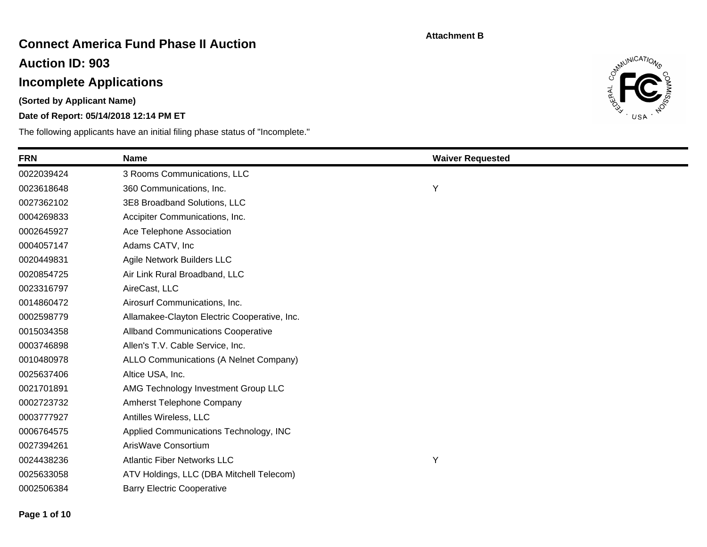## **Connect America Fund Phase II Auction**

**Auction ID: 903**

# **Incomplete Applications**

**(Sorted by Applicant Name)**

### **Date of Report: 05/14/2018 12:14 PM ET**



| <b>FRN</b> | <b>Name</b>                                  | <b>Waiver Requested</b> |
|------------|----------------------------------------------|-------------------------|
| 0022039424 | 3 Rooms Communications, LLC                  |                         |
| 0023618648 | 360 Communications, Inc.                     | Υ                       |
| 0027362102 | 3E8 Broadband Solutions, LLC                 |                         |
| 0004269833 | Accipiter Communications, Inc.               |                         |
| 0002645927 | Ace Telephone Association                    |                         |
| 0004057147 | Adams CATV, Inc                              |                         |
| 0020449831 | Agile Network Builders LLC                   |                         |
| 0020854725 | Air Link Rural Broadband, LLC                |                         |
| 0023316797 | AireCast, LLC                                |                         |
| 0014860472 | Airosurf Communications, Inc.                |                         |
| 0002598779 | Allamakee-Clayton Electric Cooperative, Inc. |                         |
| 0015034358 | <b>Allband Communications Cooperative</b>    |                         |
| 0003746898 | Allen's T.V. Cable Service, Inc.             |                         |
| 0010480978 | ALLO Communications (A Nelnet Company)       |                         |
| 0025637406 | Altice USA, Inc.                             |                         |
| 0021701891 | AMG Technology Investment Group LLC          |                         |
| 0002723732 | Amherst Telephone Company                    |                         |
| 0003777927 | Antilles Wireless, LLC                       |                         |
| 0006764575 | Applied Communications Technology, INC       |                         |
| 0027394261 | ArisWave Consortium                          |                         |
| 0024438236 | <b>Atlantic Fiber Networks LLC</b>           | Υ                       |
| 0025633058 | ATV Holdings, LLC (DBA Mitchell Telecom)     |                         |
| 0002506384 | <b>Barry Electric Cooperative</b>            |                         |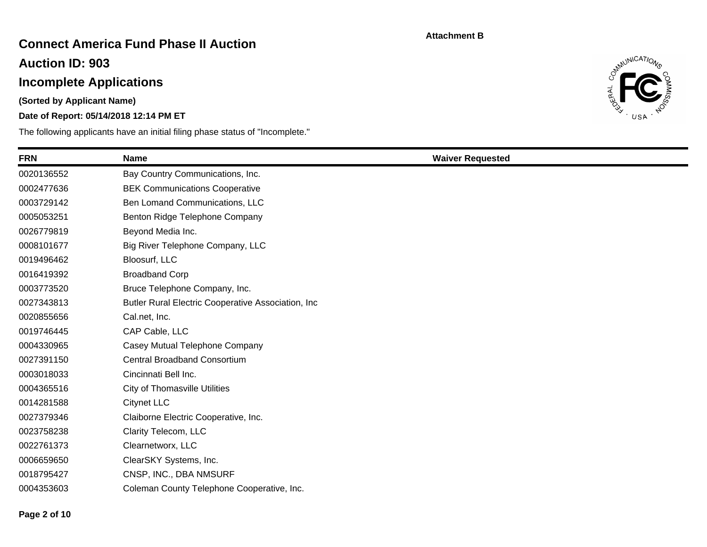## **Connect America Fund Phase II Auction**

**Auction ID: 903**

# **Incomplete Applications**

**(Sorted by Applicant Name)**

### **Date of Report: 05/14/2018 12:14 PM ET**



| <b>FRN</b> | <b>Name</b>                                        | <b>Waiver Requested</b> |
|------------|----------------------------------------------------|-------------------------|
| 0020136552 | Bay Country Communications, Inc.                   |                         |
| 0002477636 | <b>BEK Communications Cooperative</b>              |                         |
| 0003729142 | Ben Lomand Communications, LLC                     |                         |
| 0005053251 | Benton Ridge Telephone Company                     |                         |
| 0026779819 | Beyond Media Inc.                                  |                         |
| 0008101677 | Big River Telephone Company, LLC                   |                         |
| 0019496462 | Bloosurf, LLC                                      |                         |
| 0016419392 | <b>Broadband Corp</b>                              |                         |
| 0003773520 | Bruce Telephone Company, Inc.                      |                         |
| 0027343813 | Butler Rural Electric Cooperative Association, Inc |                         |
| 0020855656 | Cal.net, Inc.                                      |                         |
| 0019746445 | CAP Cable, LLC                                     |                         |
| 0004330965 | Casey Mutual Telephone Company                     |                         |
| 0027391150 | <b>Central Broadband Consortium</b>                |                         |
| 0003018033 | Cincinnati Bell Inc.                               |                         |
| 0004365516 | <b>City of Thomasville Utilities</b>               |                         |
| 0014281588 | <b>Citynet LLC</b>                                 |                         |
| 0027379346 | Claiborne Electric Cooperative, Inc.               |                         |
| 0023758238 | Clarity Telecom, LLC                               |                         |
| 0022761373 | Clearnetworx, LLC                                  |                         |
| 0006659650 | ClearSKY Systems, Inc.                             |                         |
| 0018795427 | CNSP, INC., DBA NMSURF                             |                         |
| 0004353603 | Coleman County Telephone Cooperative, Inc.         |                         |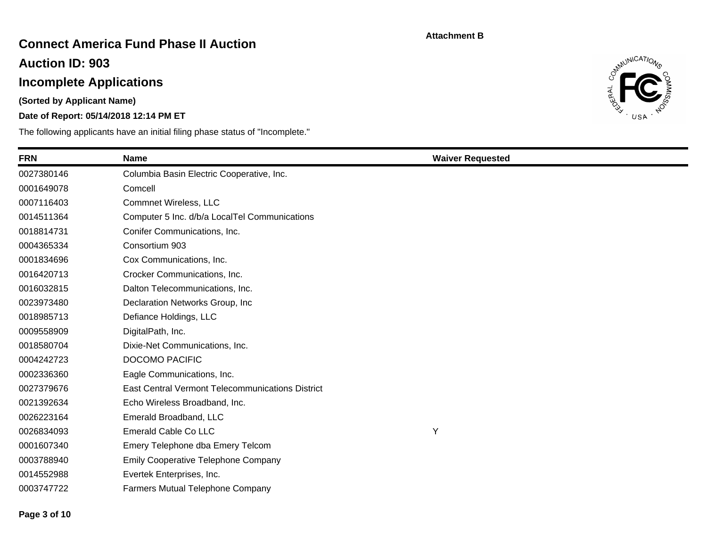## **Connect America Fund Phase II Auction**

**Auction ID: 903**

# **Incomplete Applications**

**(Sorted by Applicant Name)**

### **Date of Report: 05/14/2018 12:14 PM ET**



| <b>FRN</b> | <b>Name</b>                                      | <b>Waiver Requested</b> |  |
|------------|--------------------------------------------------|-------------------------|--|
| 0027380146 | Columbia Basin Electric Cooperative, Inc.        |                         |  |
| 0001649078 | Comcell                                          |                         |  |
| 0007116403 | Commnet Wireless, LLC                            |                         |  |
| 0014511364 | Computer 5 Inc. d/b/a LocalTel Communications    |                         |  |
| 0018814731 | Conifer Communications, Inc.                     |                         |  |
| 0004365334 | Consortium 903                                   |                         |  |
| 0001834696 | Cox Communications, Inc.                         |                         |  |
| 0016420713 | Crocker Communications, Inc.                     |                         |  |
| 0016032815 | Dalton Telecommunications, Inc.                  |                         |  |
| 0023973480 | Declaration Networks Group, Inc.                 |                         |  |
| 0018985713 | Defiance Holdings, LLC                           |                         |  |
| 0009558909 | DigitalPath, Inc.                                |                         |  |
| 0018580704 | Dixie-Net Communications, Inc.                   |                         |  |
| 0004242723 | <b>DOCOMO PACIFIC</b>                            |                         |  |
| 0002336360 | Eagle Communications, Inc.                       |                         |  |
| 0027379676 | East Central Vermont Telecommunications District |                         |  |
| 0021392634 | Echo Wireless Broadband, Inc.                    |                         |  |
| 0026223164 | Emerald Broadband, LLC                           |                         |  |
| 0026834093 | Emerald Cable Co LLC                             | Υ                       |  |
| 0001607340 | Emery Telephone dba Emery Telcom                 |                         |  |
| 0003788940 | <b>Emily Cooperative Telephone Company</b>       |                         |  |
| 0014552988 | Evertek Enterprises, Inc.                        |                         |  |
| 0003747722 | <b>Farmers Mutual Telephone Company</b>          |                         |  |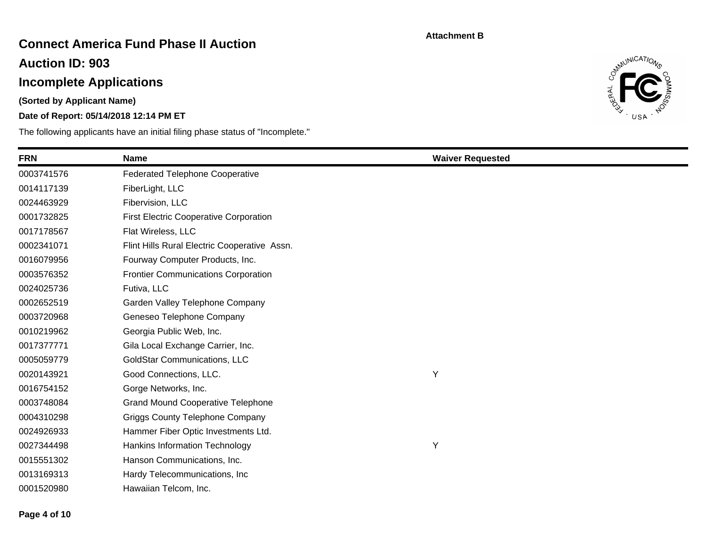## **Connect America Fund Phase II Auction**

**Auction ID: 903**

# **Incomplete Applications**

**(Sorted by Applicant Name)**

### **Date of Report: 05/14/2018 12:14 PM ET**



| <b>FRN</b> | <b>Name</b>                                   | <b>Waiver Requested</b> |
|------------|-----------------------------------------------|-------------------------|
| 0003741576 | <b>Federated Telephone Cooperative</b>        |                         |
| 0014117139 | FiberLight, LLC                               |                         |
| 0024463929 | Fibervision, LLC                              |                         |
| 0001732825 | <b>First Electric Cooperative Corporation</b> |                         |
| 0017178567 | Flat Wireless, LLC                            |                         |
| 0002341071 | Flint Hills Rural Electric Cooperative Assn.  |                         |
| 0016079956 | Fourway Computer Products, Inc.               |                         |
| 0003576352 | <b>Frontier Communications Corporation</b>    |                         |
| 0024025736 | Futiva, LLC                                   |                         |
| 0002652519 | Garden Valley Telephone Company               |                         |
| 0003720968 | Geneseo Telephone Company                     |                         |
| 0010219962 | Georgia Public Web, Inc.                      |                         |
| 0017377771 | Gila Local Exchange Carrier, Inc.             |                         |
| 0005059779 | <b>GoldStar Communications, LLC</b>           |                         |
| 0020143921 | Good Connections, LLC.                        | Υ                       |
| 0016754152 | Gorge Networks, Inc.                          |                         |
| 0003748084 | <b>Grand Mound Cooperative Telephone</b>      |                         |
| 0004310298 | <b>Griggs County Telephone Company</b>        |                         |
| 0024926933 | Hammer Fiber Optic Investments Ltd.           |                         |
| 0027344498 | Hankins Information Technology                | Υ                       |
| 0015551302 | Hanson Communications, Inc.                   |                         |
| 0013169313 | Hardy Telecommunications, Inc.                |                         |
| 0001520980 | Hawaiian Telcom, Inc.                         |                         |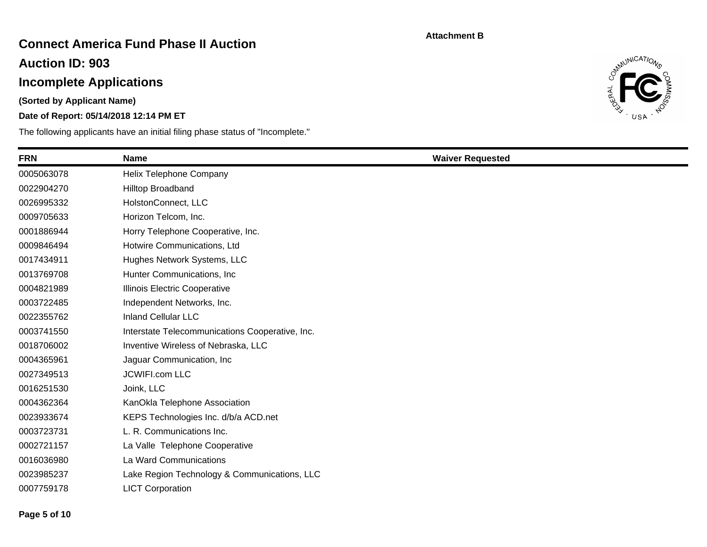## **Connect America Fund Phase II Auction**

**Auction ID: 903**

# **Incomplete Applications**

**(Sorted by Applicant Name)**

### **Date of Report: 05/14/2018 12:14 PM ET**



| <b>FRN</b> | <b>Name</b>                                     | <b>Waiver Requested</b> |
|------------|-------------------------------------------------|-------------------------|
| 0005063078 | Helix Telephone Company                         |                         |
| 0022904270 | Hilltop Broadband                               |                         |
| 0026995332 | HolstonConnect, LLC                             |                         |
| 0009705633 | Horizon Telcom, Inc.                            |                         |
| 0001886944 | Horry Telephone Cooperative, Inc.               |                         |
| 0009846494 | Hotwire Communications, Ltd                     |                         |
| 0017434911 | Hughes Network Systems, LLC                     |                         |
| 0013769708 | Hunter Communications, Inc.                     |                         |
| 0004821989 | Illinois Electric Cooperative                   |                         |
| 0003722485 | Independent Networks, Inc.                      |                         |
| 0022355762 | <b>Inland Cellular LLC</b>                      |                         |
| 0003741550 | Interstate Telecommunications Cooperative, Inc. |                         |
| 0018706002 | Inventive Wireless of Nebraska, LLC             |                         |
| 0004365961 | Jaguar Communication, Inc.                      |                         |
| 0027349513 | <b>JCWIFI.com LLC</b>                           |                         |
| 0016251530 | Joink, LLC                                      |                         |
| 0004362364 | KanOkla Telephone Association                   |                         |
| 0023933674 | KEPS Technologies Inc. d/b/a ACD.net            |                         |
| 0003723731 | L. R. Communications Inc.                       |                         |
| 0002721157 | La Valle Telephone Cooperative                  |                         |
| 0016036980 | La Ward Communications                          |                         |
| 0023985237 | Lake Region Technology & Communications, LLC    |                         |
| 0007759178 | <b>LICT Corporation</b>                         |                         |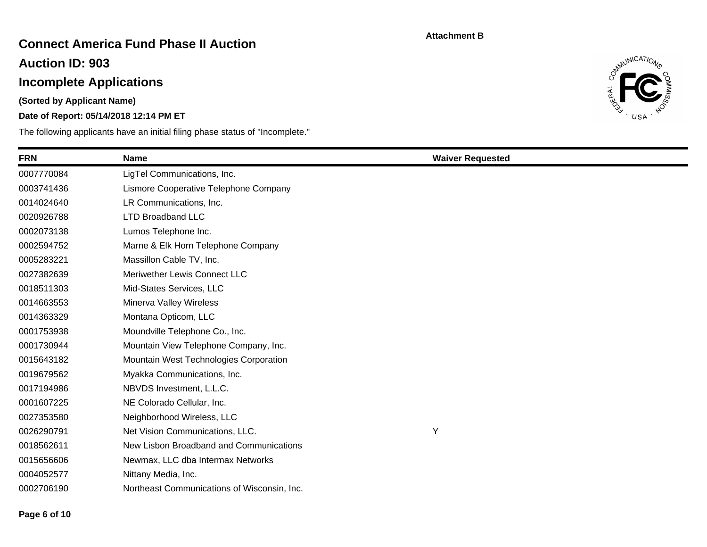## **Connect America Fund Phase II Auction**

**Auction ID: 903**

# **Incomplete Applications**

**(Sorted by Applicant Name)**

### **Date of Report: 05/14/2018 12:14 PM ET**



| <b>FRN</b> | <b>Name</b>                                 | <b>Waiver Requested</b> |
|------------|---------------------------------------------|-------------------------|
| 0007770084 | LigTel Communications, Inc.                 |                         |
| 0003741436 | Lismore Cooperative Telephone Company       |                         |
| 0014024640 | LR Communications, Inc.                     |                         |
| 0020926788 | <b>LTD Broadband LLC</b>                    |                         |
| 0002073138 | Lumos Telephone Inc.                        |                         |
| 0002594752 | Marne & Elk Horn Telephone Company          |                         |
| 0005283221 | Massillon Cable TV, Inc.                    |                         |
| 0027382639 | Meriwether Lewis Connect LLC                |                         |
| 0018511303 | Mid-States Services, LLC                    |                         |
| 0014663553 | Minerva Valley Wireless                     |                         |
| 0014363329 | Montana Opticom, LLC                        |                         |
| 0001753938 | Moundville Telephone Co., Inc.              |                         |
| 0001730944 | Mountain View Telephone Company, Inc.       |                         |
| 0015643182 | Mountain West Technologies Corporation      |                         |
| 0019679562 | Myakka Communications, Inc.                 |                         |
| 0017194986 | NBVDS Investment, L.L.C.                    |                         |
| 0001607225 | NE Colorado Cellular, Inc.                  |                         |
| 0027353580 | Neighborhood Wireless, LLC                  |                         |
| 0026290791 | Net Vision Communications, LLC.             | Y                       |
| 0018562611 | New Lisbon Broadband and Communications     |                         |
| 0015656606 | Newmax, LLC dba Intermax Networks           |                         |
| 0004052577 | Nittany Media, Inc.                         |                         |
| 0002706190 | Northeast Communications of Wisconsin, Inc. |                         |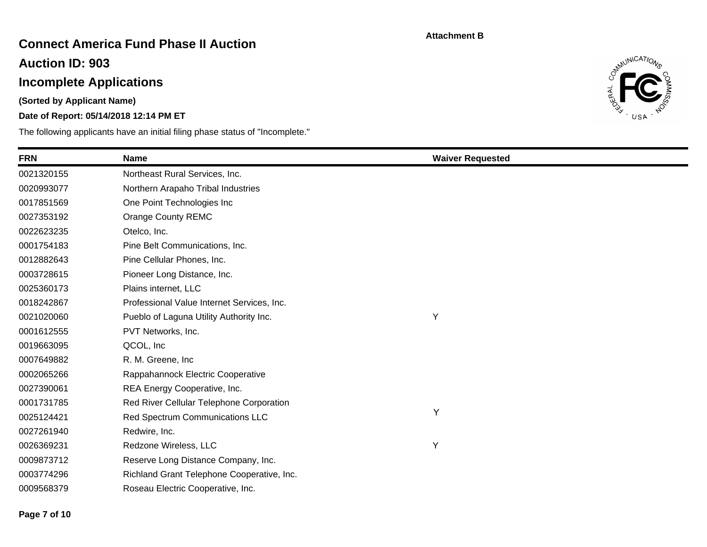## **Connect America Fund Phase II Auction**

**Auction ID: 903**

# **Incomplete Applications**

**(Sorted by Applicant Name)**

### **Date of Report: 05/14/2018 12:14 PM ET**



| <b>FRN</b> | <b>Name</b>                                | <b>Waiver Requested</b> |  |
|------------|--------------------------------------------|-------------------------|--|
| 0021320155 | Northeast Rural Services, Inc.             |                         |  |
| 0020993077 | Northern Arapaho Tribal Industries         |                         |  |
| 0017851569 | One Point Technologies Inc                 |                         |  |
| 0027353192 | Orange County REMC                         |                         |  |
| 0022623235 | Otelco, Inc.                               |                         |  |
| 0001754183 | Pine Belt Communications, Inc.             |                         |  |
| 0012882643 | Pine Cellular Phones, Inc.                 |                         |  |
| 0003728615 | Pioneer Long Distance, Inc.                |                         |  |
| 0025360173 | Plains internet, LLC                       |                         |  |
| 0018242867 | Professional Value Internet Services, Inc. |                         |  |
| 0021020060 | Pueblo of Laguna Utility Authority Inc.    | Υ                       |  |
| 0001612555 | PVT Networks, Inc.                         |                         |  |
| 0019663095 | QCOL, Inc                                  |                         |  |
| 0007649882 | R. M. Greene, Inc.                         |                         |  |
| 0002065266 | Rappahannock Electric Cooperative          |                         |  |
| 0027390061 | REA Energy Cooperative, Inc.               |                         |  |
| 0001731785 | Red River Cellular Telephone Corporation   |                         |  |
| 0025124421 | Red Spectrum Communications LLC            | Y                       |  |
| 0027261940 | Redwire, Inc.                              |                         |  |
| 0026369231 | Redzone Wireless, LLC                      | Υ                       |  |
| 0009873712 | Reserve Long Distance Company, Inc.        |                         |  |
| 0003774296 | Richland Grant Telephone Cooperative, Inc. |                         |  |
| 0009568379 | Roseau Electric Cooperative, Inc.          |                         |  |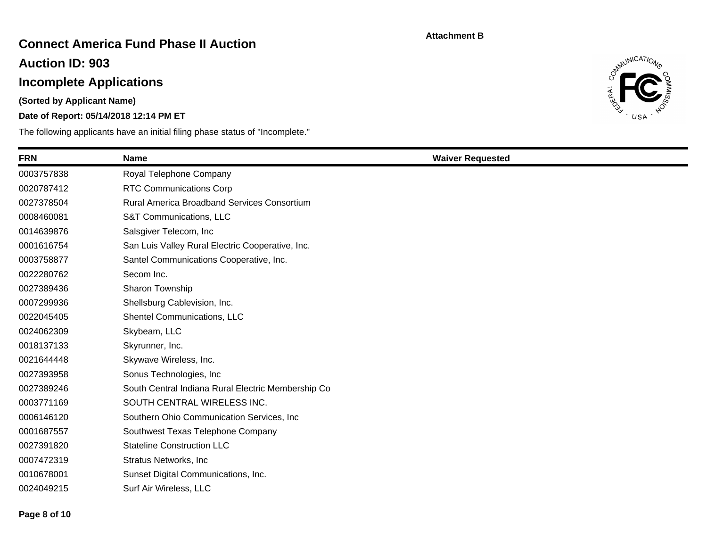## **Connect America Fund Phase II Auction**

**Auction ID: 903**

# **Incomplete Applications**

**(Sorted by Applicant Name)**

### **Date of Report: 05/14/2018 12:14 PM ET**



| <b>FRN</b> | <b>Name</b>                                        | <b>Waiver Requested</b> |
|------------|----------------------------------------------------|-------------------------|
| 0003757838 | Royal Telephone Company                            |                         |
| 0020787412 | <b>RTC Communications Corp</b>                     |                         |
| 0027378504 | Rural America Broadband Services Consortium        |                         |
| 0008460081 | S&T Communications, LLC                            |                         |
| 0014639876 | Salsgiver Telecom, Inc.                            |                         |
| 0001616754 | San Luis Valley Rural Electric Cooperative, Inc.   |                         |
| 0003758877 | Santel Communications Cooperative, Inc.            |                         |
| 0022280762 | Secom Inc.                                         |                         |
| 0027389436 | Sharon Township                                    |                         |
| 0007299936 | Shellsburg Cablevision, Inc.                       |                         |
| 0022045405 | Shentel Communications, LLC                        |                         |
| 0024062309 | Skybeam, LLC                                       |                         |
| 0018137133 | Skyrunner, Inc.                                    |                         |
| 0021644448 | Skywave Wireless, Inc.                             |                         |
| 0027393958 | Sonus Technologies, Inc.                           |                         |
| 0027389246 | South Central Indiana Rural Electric Membership Co |                         |
| 0003771169 | SOUTH CENTRAL WIRELESS INC.                        |                         |
| 0006146120 | Southern Ohio Communication Services, Inc.         |                         |
| 0001687557 | Southwest Texas Telephone Company                  |                         |
| 0027391820 | <b>Stateline Construction LLC</b>                  |                         |
| 0007472319 | <b>Stratus Networks, Inc</b>                       |                         |
| 0010678001 | Sunset Digital Communications, Inc.                |                         |
| 0024049215 | Surf Air Wireless, LLC                             |                         |
|            |                                                    |                         |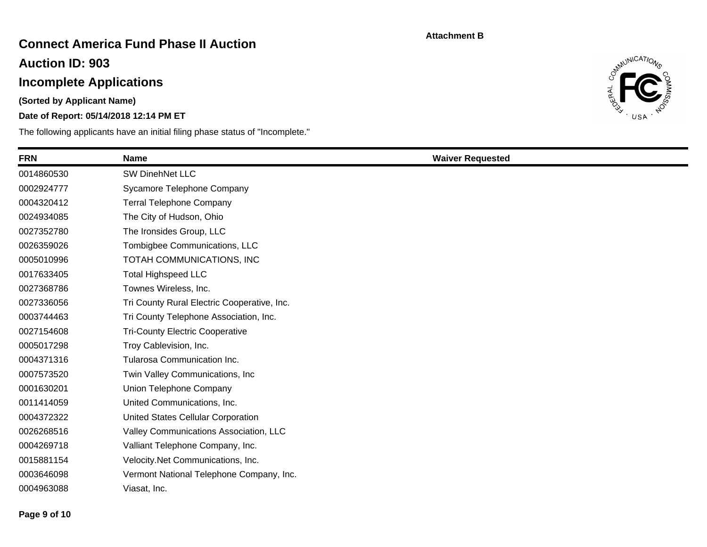## **Connect America Fund Phase II Auction**

**Auction ID: 903**

# **Incomplete Applications**

**(Sorted by Applicant Name)**

### **Date of Report: 05/14/2018 12:14 PM ET**



| <b>FRN</b> | <b>Name</b>                                 | <b>Waiver Requested</b> |
|------------|---------------------------------------------|-------------------------|
| 0014860530 | <b>SW DinehNet LLC</b>                      |                         |
| 0002924777 | Sycamore Telephone Company                  |                         |
| 0004320412 | <b>Terral Telephone Company</b>             |                         |
| 0024934085 | The City of Hudson, Ohio                    |                         |
| 0027352780 | The Ironsides Group, LLC                    |                         |
| 0026359026 | Tombigbee Communications, LLC               |                         |
| 0005010996 | TOTAH COMMUNICATIONS, INC                   |                         |
| 0017633405 | <b>Total Highspeed LLC</b>                  |                         |
| 0027368786 | Townes Wireless, Inc.                       |                         |
| 0027336056 | Tri County Rural Electric Cooperative, Inc. |                         |
| 0003744463 | Tri County Telephone Association, Inc.      |                         |
| 0027154608 | <b>Tri-County Electric Cooperative</b>      |                         |
| 0005017298 | Troy Cablevision, Inc.                      |                         |
| 0004371316 | Tularosa Communication Inc.                 |                         |
| 0007573520 | Twin Valley Communications, Inc.            |                         |
| 0001630201 | Union Telephone Company                     |                         |
| 0011414059 | United Communications, Inc.                 |                         |
| 0004372322 | United States Cellular Corporation          |                         |
| 0026268516 | Valley Communications Association, LLC      |                         |
| 0004269718 | Valliant Telephone Company, Inc.            |                         |
| 0015881154 | Velocity.Net Communications, Inc.           |                         |
| 0003646098 | Vermont National Telephone Company, Inc.    |                         |
| 0004963088 | Viasat, Inc.                                |                         |